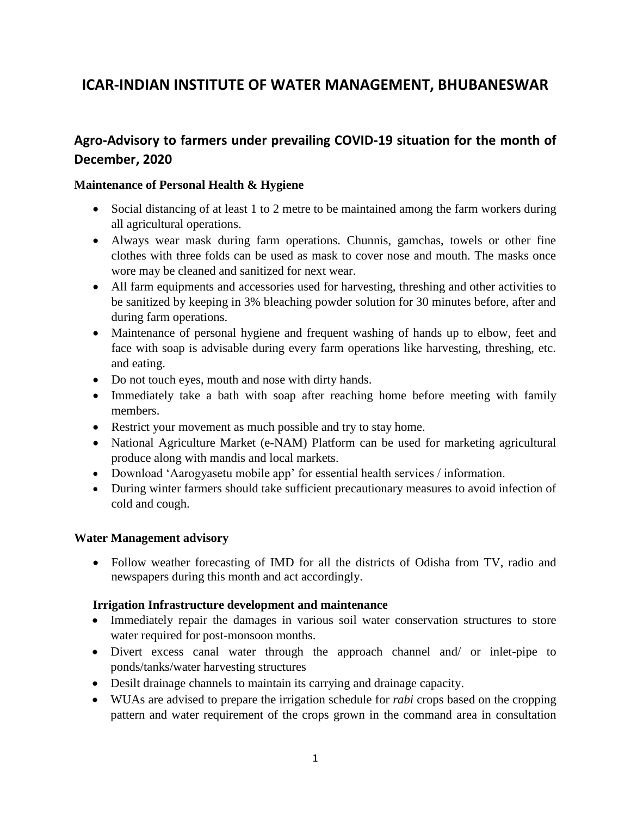# **ICAR-INDIAN INSTITUTE OF WATER MANAGEMENT, BHUBANESWAR**

# **Agro-Advisory to farmers under prevailing COVID-19 situation for the month of December, 2020**

#### **Maintenance of Personal Health & Hygiene**

- Social distancing of at least 1 to 2 metre to be maintained among the farm workers during all agricultural operations.
- Always wear mask during farm operations. Chunnis, gamchas, towels or other fine clothes with three folds can be used as mask to cover nose and mouth. The masks once wore may be cleaned and sanitized for next wear.
- All farm equipments and accessories used for harvesting, threshing and other activities to be sanitized by keeping in 3% bleaching powder solution for 30 minutes before, after and during farm operations.
- Maintenance of personal hygiene and frequent washing of hands up to elbow, feet and face with soap is advisable during every farm operations like harvesting, threshing, etc. and eating.
- Do not touch eyes, mouth and nose with dirty hands.
- Immediately take a bath with soap after reaching home before meeting with family members.
- Restrict your movement as much possible and try to stay home.
- National Agriculture Market (e-NAM) Platform can be used for marketing agricultural produce along with mandis and local markets.
- Download 'Aarogyasetu mobile app' for essential health services / information.
- During winter farmers should take sufficient precautionary measures to avoid infection of cold and cough.

#### **Water Management advisory**

• Follow weather forecasting of IMD for all the districts of Odisha from TV, radio and newspapers during this month and act accordingly.

#### **Irrigation Infrastructure development and maintenance**

- Immediately repair the damages in various soil water conservation structures to store water required for post-monsoon months.
- Divert excess canal water through the approach channel and/ or inlet-pipe to ponds/tanks/water harvesting structures
- Desilt drainage channels to maintain its carrying and drainage capacity.
- WUAs are advised to prepare the irrigation schedule for *rabi* crops based on the cropping pattern and water requirement of the crops grown in the command area in consultation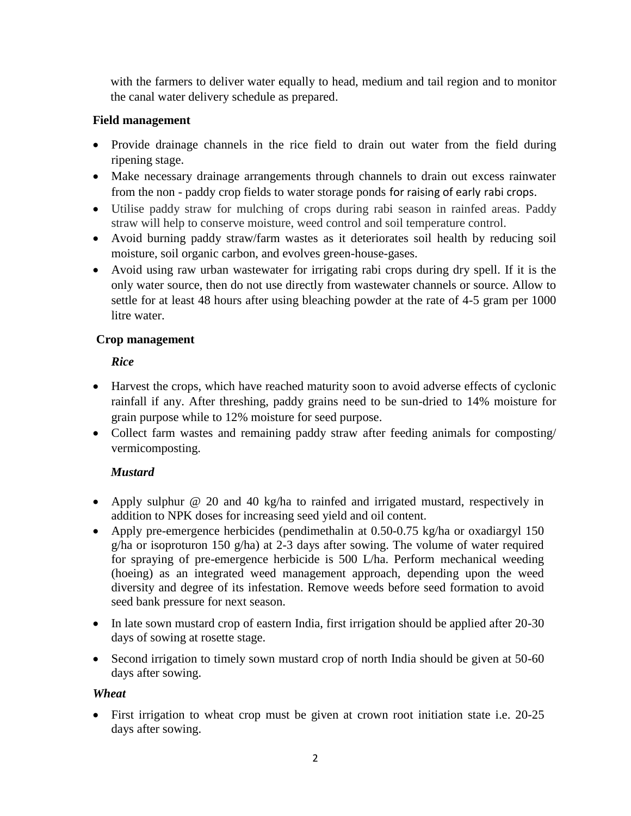with the farmers to deliver water equally to head, medium and tail region and to monitor the canal water delivery schedule as prepared.

### **Field management**

- Provide drainage channels in the rice field to drain out water from the field during ripening stage.
- Make necessary drainage arrangements through channels to drain out excess rainwater from the non - paddy crop fields to water storage ponds for raising of early rabi crops.
- Utilise paddy straw for mulching of crops during rabi season in rainfed areas. Paddy straw will help to conserve moisture, weed control and soil temperature control.
- Avoid burning paddy straw/farm wastes as it deteriorates soil health by reducing soil moisture, soil organic carbon, and evolves green-house-gases.
- Avoid using raw urban wastewater for irrigating rabi crops during dry spell. If it is the only water source, then do not use directly from wastewater channels or source. Allow to settle for at least 48 hours after using bleaching powder at the rate of 4-5 gram per 1000 litre water.

### **Crop management**

### *Rice*

- Harvest the crops, which have reached maturity soon to avoid adverse effects of cyclonic rainfall if any. After threshing, paddy grains need to be sun-dried to 14% moisture for grain purpose while to 12% moisture for seed purpose.
- Collect farm wastes and remaining paddy straw after feeding animals for composting/ vermicomposting.

# *Mustard*

- Apply sulphur @ 20 and 40 kg/ha to rainfed and irrigated mustard, respectively in addition to NPK doses for increasing seed yield and oil content.
- Apply pre-emergence herbicides (pendimethalin at 0.50-0.75 kg/ha or oxadiargyl 150 g/ha or isoproturon 150 g/ha) at 2-3 days after sowing. The volume of water required for spraying of pre-emergence herbicide is 500 L/ha. Perform mechanical weeding (hoeing) as an integrated weed management approach, depending upon the weed diversity and degree of its infestation. Remove weeds before seed formation to avoid seed bank pressure for next season.
- In late sown mustard crop of eastern India, first irrigation should be applied after 20-30 days of sowing at rosette stage.
- Second irrigation to timely sown mustard crop of north India should be given at 50-60 days after sowing.

# *Wheat*

• First irrigation to wheat crop must be given at crown root initiation state i.e. 20-25 days after sowing.